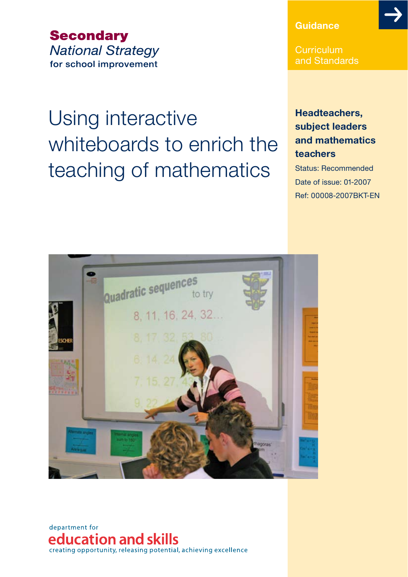**Secondary National Strategy** for school improvement

# Using interactive whiteboards to enrich the teaching of mathematics

### **Guidance**

Curriculum and Standards

### **Headteachers, subject leaders And mathematics TEACHERS**

Status: Recommended Date of issue: 01-2007 Ref: 00008-2007BKT-EN



department for education and skills creating opportunity, releasing potential, achieving excellence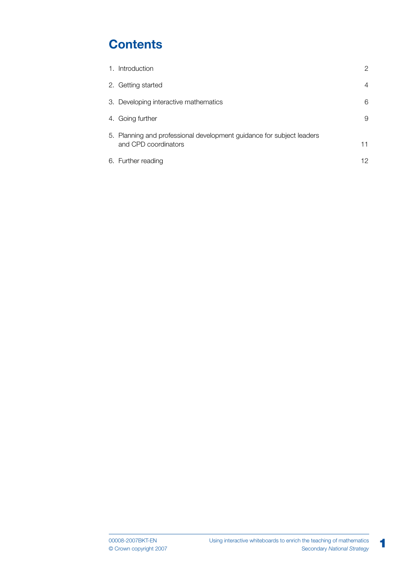# **Contents**

| 1. Introduction                                                                               | 2  |
|-----------------------------------------------------------------------------------------------|----|
| 2. Getting started                                                                            | 4  |
| 3. Developing interactive mathematics                                                         | 6  |
| 4. Going further                                                                              | 9  |
| 5. Planning and professional development guidance for subject leaders<br>and CPD coordinators | 11 |
| 6. Further reading                                                                            | 12 |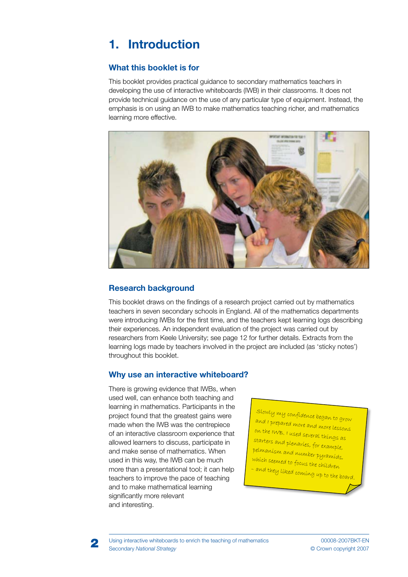# **1. Introduction**

### *<u>Mhat this booklet is for</u>*

This booklet provides practical guidance to secondary mathematics teachers in developing the use of interactive whiteboards (IWB) in their classrooms. It does not provide technical guidance on the use of any particular type of equipment. Instead, the emphasis is on using an IWB to make mathematics teaching richer, and mathematics learning more effective.



### **Research background**

This booklet draws on the findings of a research project carried out by mathematics teachers in seven secondary schools in England. All of the mathematics departments were introducing IWBs for the first time, and the teachers kept learning logs describing their experiences. An independent evaluation of the project was carried out by researchers from Keele University; see page 12 for further details. Extracts from the learning logs made by teachers involved in the project are included (as 'sticky notes') throughout this booklet.

### *Why use an interactive whiteboard?*

There is growing evidence that IWBs, when used well, can enhance both teaching and learning in mathematics. Participants in the project found that the greatest gains were made when the IWB was the centrepiece of an interactive classroom experience that allowed learners to discuss, participate in and make sense of mathematics. When used in this way, the IWB can be much more than a presentational tool; it can help teachers to improve the pace of teaching and to make mathematical learning significantly more relevant and interesting.

Slowly my confidence began to grow and I prepared more and more lessons on the IWB. I used several things as starters and plenaries, for example, pelmanism and number pyramids, which seemed to focus the children – and they liked coming up to the board.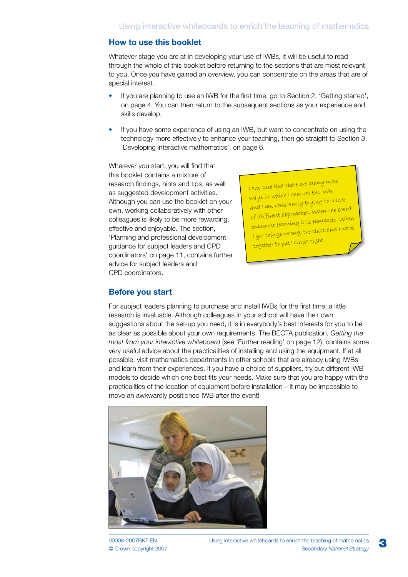#### **How to use this booklet**

Whatever stage you are at in developing your use of IWBs, it will be useful to read through the whole of this booklet before returning to the sections that are most relevant to you. Once you have gained an overview, you can concentrate on the areas that are of special interest.

- If you are planning to use an IWB for the first time, go to Section 2, 'Getting started', on page 4. You can then return to the subsequent sections as your experience and skills develop. •
- If you have some experience of using an IWB, but want to concentrate on using the technology more effectively to enhance your teaching, then go straight to Section 3, 'Developing interactive mathematics', on page 6. •

Wherever you start, you will find that this booklet contains a mixture of research findings, hints and tips, as well as suggested development activities. Although you can use the booklet on your own, working collaboratively with other colleagues is likely to be more rewarding, effective and enjoyable. The section, 'Planning and professional development guidance for subject leaders and CPD coordinators' on page 11, contains further advice for subject leaders and CPD coordinators.

I am sure that there are many more ways in which I can use the IWB and I am constantly trying to think of different approaches. When the board enhances learning it is fantastic. When I get things wrong, the class and I work together to put things right.

#### **Before you start**

For subject leaders planning to purchase and install IWBs for the first time, a little research is invaluable. Although colleagues in your school will have their own suggestions about the set-up you need, it is in everybody's best interests for you to be as clear as possible about your own requirements. The BECTA publication, *Getting the most from your interactive whiteboard* (see 'Further reading' on page 12), contains some very useful advice about the practicalities of installing and using the equipment. If at all possible, visit mathematics departments in other schools that are already using IWBs and learn from their experiences. If you have a choice of suppliers, try out different IWB models to decide which one best fits your needs. Make sure that you are happy with the practicalities of the location of equipment before installation – it may be impossible to move an awkwardly positioned IWB after the event!

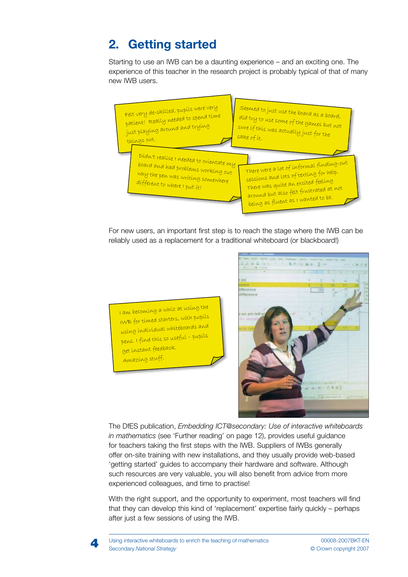## **2. Getting started**

Starting to use an IWB can be a daunting experience – and an exciting one. The experience of this teacher in the research project is probably typical of that of many new IWB users.



For new users, an important first step is to reach the stage where the IWB can be reliably used as a replacement for a traditional whiteboard (or blackboard!)

I am becoming a whiz at using the IWB for timed starters, with pupils using individual whiteboards and pens. I find this so useful – pupils get instant feedback. Amazing stuff.



**The DfES publication, Embedding ICT@secondary: Use of interactive whiteboards** *in mathematics* (see 'Further reading' on page 12), provides useful guidance for teachers taking the first steps with the IWB. Suppliers of IWBs generally offer on-site training with new installations, and they usually provide web-based 'getting started' guides to accompany their hardware and software. Although such resources are very valuable, you will also benefit from advice from more experienced colleagues, and time to practise!

With the right support, and the opportunity to experiment, most teachers will find that they can develop this kind of 'replacement' expertise fairly quickly - perhaps after just a few sessions of using the IWB.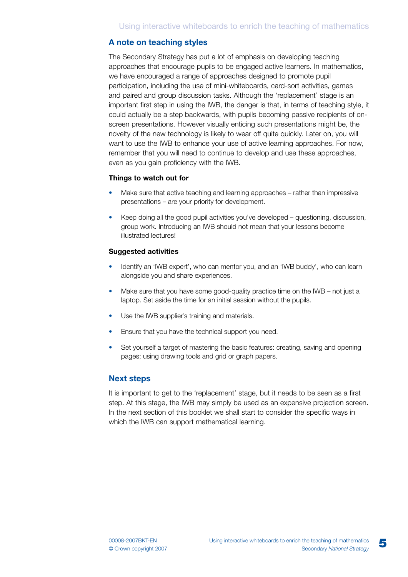#### **A** note on teaching styles

The Secondary Strategy has put a lot of emphasis on developing teaching approaches that encourage pupils to be engaged active learners. In mathematics, we have encouraged a range of approaches designed to promote pupil participation, including the use of mini-whiteboards, card-sort activities, games and paired and group discussion tasks. Although the 'replacement' stage is an important first step in using the IWB, the danger is that, in terms of teaching style, it could actually be a step backwards, with pupils becoming passive recipients of onscreen presentations. However visually enticing such presentations might be, the novelty of the new technology is likely to wear off quite quickly. Later on, you will want to use the IWB to enhance your use of active learning approaches. For now, remember that you will need to continue to develop and use these approaches, even as you gain proficiency with the IWB.

#### **4HIMPS** to watch out for

- Make sure that active teaching and learning approaches rather than impressive presentations – are your priority for development. •
- Keep doing all the good pupil activities you've developed questioning, discussion, group work. Introducing an IWB should not mean that your lessons become illustrated lectures! •

#### **Suggested activities**

- Identify an 'IWB expert', who can mentor you, and an 'IWB buddy', who can learn alongside you and share experiences. •
- Make sure that you have some good-quality practice time on the IWB not just a laptop. Set aside the time for an initial session without the pupils. •
- Use the IWB supplier's training and materials. •
- Ensure that you have the technical support you need. •
- Set yourself a target of mastering the basic features: creating, saving and opening pages; using drawing tools and grid or graph papers. •

#### **Next steps**

It is important to get to the 'replacement' stage, but it needs to be seen as a first step. At this stage, the IWB may simply be used as an expensive projection screen. In the next section of this booklet we shall start to consider the specific ways in which the IWB can support mathematical learning.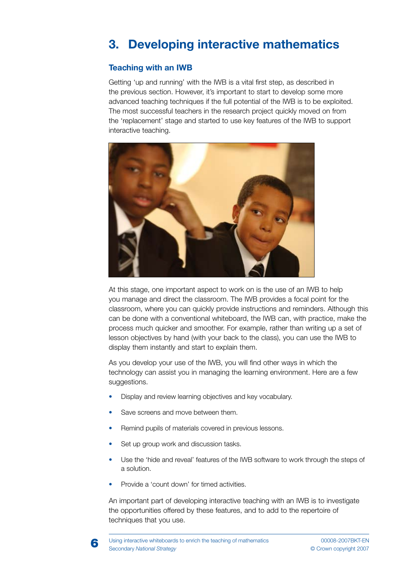# **3. Developing interactive mathematics**

### **1EACHING** with an IWB

Getting 'up and running' with the IWB is a vital first step, as described in the previous section. However, it's important to start to develop some more advanced teaching techniques if the full potential of the IWB is to be exploited. The most successful teachers in the research project quickly moved on from the 'replacement' stage and started to use key features of the IWB to support interactive teaching.



At this stage, one important aspect to work on is the use of an IWB to help you manage and direct the classroom. The IWB provides a focal point for the classroom, where you can quickly provide instructions and reminders. Although this can be done with a conventional whiteboard, the IWB can, with practice, make the process much quicker and smoother. For example, rather than writing up a set of lesson objectives by hand (with your back to the class), you can use the IWB to display them instantly and start to explain them.

As you develop your use of the IWB, you will find other ways in which the technology can assist you in managing the learning environment. Here are a few suggestions.

- Display and review learning objectives and key vocabulary. •
- Save screens and move between them. •
- Remind pupils of materials covered in previous lessons. •
- Set up group work and discussion tasks. •
- Use the 'hide and reveal' features of the IWB software to work through the steps of a solution. •
- Provide a 'count down' for timed activities. •

An important part of developing interactive teaching with an IWB is to investigate the opportunities offered by these features, and to add to the repertoire of techniques that you use.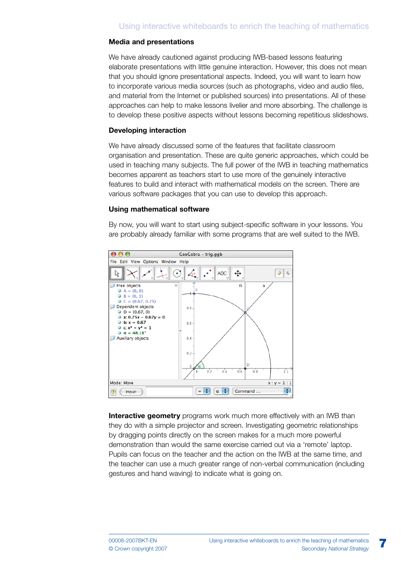#### **Media and presentations**

We have already cautioned against producing IWB-based lessons featuring elaborate presentations with little genuine interaction. However, this does not mean that you should ignore presentational aspects. Indeed, you will want to learn how to incorporate various media sources (such as photographs, video and audio files, and material from the Internet or published sources) into presentations. All of these approaches can help to make lessons livelier and more absorbing. The challenge is to develop these positive aspects without lessons becoming repetitious slideshows.

#### **Developing interaction**

We have already discussed some of the features that facilitate classroom organisation and presentation. These are quite generic approaches, which could be used in teaching many subjects. The full power of the IWB in teaching mathematics becomes apparent as teachers start to use more of the genuinely interactive features to build and interact with mathematical models on the screen. There are various software packages that you can use to develop this approach.

#### **Using mathematical software**

By now, you will want to start using subject-specific software in your lessons. You are probably already familiar with some programs that are well suited to the IWB.



**Interactive geometry** programs work much more effectively with an IWB than they do with a simple projector and screen. Investigating geometric relationships by dragging points directly on the screen makes for a much more powerful demonstration than would the same exercise carried out via a 'remote' laptop. Pupils can focus on the teacher and the action on the IWB at the same time, and the teacher can use a much greater range of non-verbal communication (including gestures and hand waving) to indicate what is going on.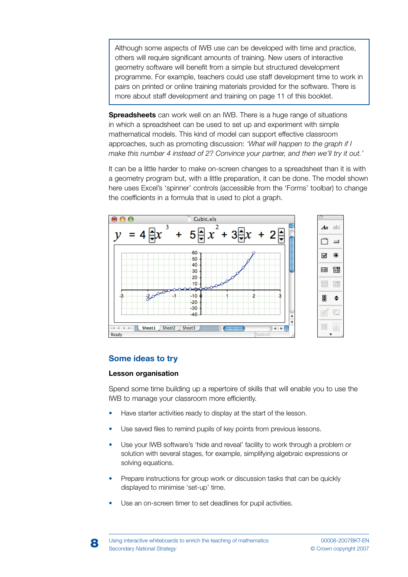Although some aspects of IWB use can be developed with time and practice, others will require significant amounts of training. New users of interactive geometry software will benefit from a simple but structured development programme. For example, teachers could use staff development time to work in pairs on printed or online training materials provided for the software. There is more about staff development and training on page 11 of this booklet.

**Spreadsheets** can work well on an IWB. There is a huge range of situations in which a spreadsheet can be used to set up and experiment with simple mathematical models. This kind of model can support effective classroom APPROACHES SUCH AS PROMOTING DISCUSSION *k7HAT WILL HAPPEN TO THE GRAPH IF ) Make this number 4 instead of 2? Convince your partner, and then we'll try it out.'* 

It can be a little harder to make on-screen changes to a spreadsheet than it is with a geometry program but, with a little preparation, it can be done. The model shown here uses Excel's 'spinner' controls (accessible from the 'Forms' toolbar) to change the coefficients in a formula that is used to plot a graph.



#### **Some ideas to try**

#### **Lesson organisation**

Spend some time building up a repertoire of skills that will enable you to use the IWB to manage your classroom more efficiently.

- Have starter activities ready to display at the start of the lesson. •
- Use saved files to remind pupils of key points from previous lessons. •
- Use your IWB software's 'hide and reveal' facility to work through a problem or solution with several stages, for example, simplifying algebraic expressions or solving equations. •
- Prepare instructions for group work or discussion tasks that can be quickly displayed to minimise 'set-up' time. •
- Use an on-screen timer to set deadlines for pupil activities. •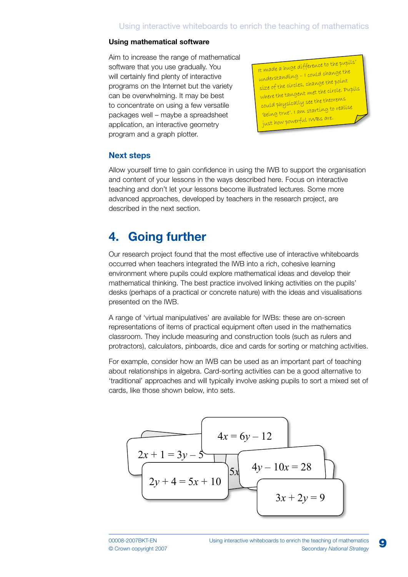#### **Using mathematical software**

Aim to increase the range of mathematical software that you use gradually. You will certainly find plenty of interactive programs on the Internet but the variety can be overwhelming. It may be best to concentrate on using a few versatile packages well - maybe a spreadsheet application, an interactive geometry program and a graph plotter.

It made a huge difference to the pupils' understanding – I could change the size of the circles, change the point where the tangent met the circle. Pupils could physically see the theorems 'being true'. I am starting to realise just how powerful IWBs are.

#### **Next steps**

Allow yourself time to gain confidence in using the IWB to support the organisation and content of your lessons in the ways described here. Focus on interactive teaching and don't let your lessons become illustrated lectures. Some more advanced approaches, developed by teachers in the research project, are described in the next section.

### **4. Going further**

Our research project found that the most effective use of interactive whiteboards occurred when teachers integrated the IWB into a rich, cohesive learning environment where pupils could explore mathematical ideas and develop their mathematical thinking. The best practice involved linking activities on the pupils' desks (perhaps of a practical or concrete nature) with the ideas and visualisations presented on the IWB.

A range of 'virtual manipulatives' are available for IWBs: these are on-screen representations of items of practical equipment often used in the mathematics classroom. They include measuring and construction tools (such as rulers and protractors), calculators, pinboards, dice and cards for sorting or matching activities.

For example, consider how an IWB can be used as an important part of teaching about relationships in algebra. Card-sorting activities can be a good alternative to traditional' approaches and will typically involve asking pupils to sort a mixed set of cards, like those shown below, into sets.

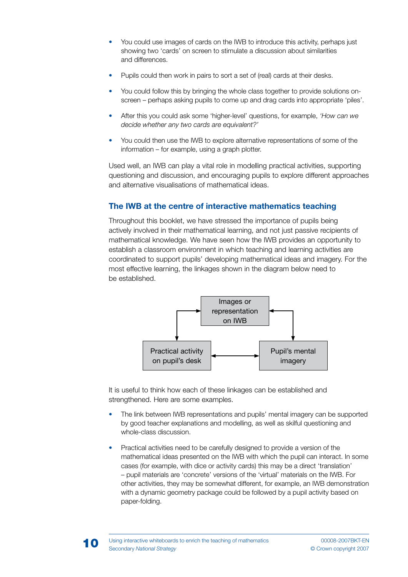- You could use images of cards on the IWB to introduce this activity, perhaps just showing two 'cards' on screen to stimulate a discussion about similarities and differences. •
- Pupils could then work in pairs to sort a set of (real) cards at their desks. •
- You could follow this by bringing the whole class together to provide solutions onscreen – perhaps asking pupils to come up and drag cards into appropriate 'piles'. •
- After this you could ask some 'higher-level' questions, for example, *'How can we decide whether any two cards are equivalent?'* •
- You could then use the IWB to explore alternative representations of some of the information – for example, using a graph plotter. •

Used well, an IWB can play a vital role in modelling practical activities, supporting questioning and discussion, and encouraging pupils to explore different approaches and alternative visualisations of mathematical ideas

### **7he IWB at the centre of interactive mathematics teaching**

Throughout this booklet, we have stressed the importance of pupils being actively involved in their mathematical learning, and not just passive recipients of mathematical knowledge. We have seen how the IWB provides an opportunity to establish a classroom environment in which teaching and learning activities are coordinated to support pupils' developing mathematical ideas and imagery. For the most effective learning, the linkages shown in the diagram below need to be established.



It is useful to think how each of these linkages can be established and strengthened. Here are some examples.

- The link between IWB representations and pupils' mental imagery can be supported by good teacher explanations and modelling, as well as skilful questioning and whole-class discussion. •
- Practical activities need to be carefully designed to provide a version of the mathematical ideas presented on the IWB with which the pupil can interact. In some cases (for example, with dice or activity cards) this may be a direct 'translation' – pupil materials are 'concrete' versions of the 'virtual' materials on the IWB. For other activities, they may be somewhat different, for example, an IWB demonstration with a dynamic geometry package could be followed by a pupil activity based on paper-folding. •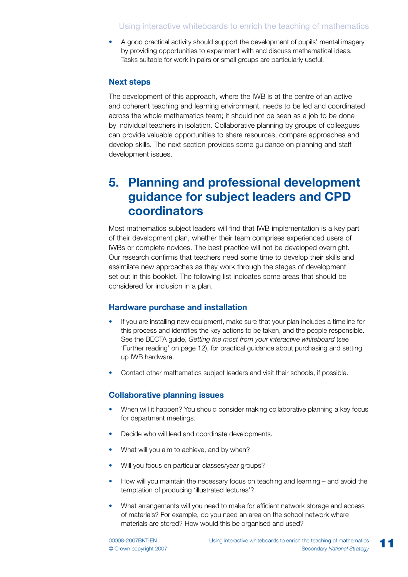### Using interactive whiteboards to enrich the teaching of mathematics

A good practical activity should support the development of pupils' mental imagery by providing opportunities to experiment with and discuss mathematical ideas. Tasks suitable for work in pairs or small groups are particularly useful. •

#### **Next steps**

The development of this approach, where the IWB is at the centre of an active and coherent teaching and learning environment, needs to be led and coordinated across the whole mathematics team; it should not be seen as a job to be done by individual teachers in isolation. Collaborative planning by groups of colleagues can provide valuable opportunities to share resources, compare approaches and develop skills. The next section provides some guidance on planning and staff development issues.

### **5. Planning and professional development guidance for subject leaders and CPD coordinators**

Most mathematics subject leaders will find that IWB implementation is a key part of their development plan, whether their team comprises experienced users of IWBs or complete novices. The best practice will not be developed overnight. Our research confirms that teachers need some time to develop their skills and assimilate new approaches as they work through the stages of development set out in this booklet. The following list indicates some areas that should be considered for inclusion in a plan.

#### **Hardware purchase and installation**

- If you are installing new equipment, make sure that your plan includes a timeline for this process and identifies the key actions to be taken, and the people responsible. See the BECTA guide, *Getting the most from your interactive whiteboard* (see 'Further reading' on page 12), for practical guidance about purchasing and setting up IWB hardware. •
- Contact other mathematics subject leaders and visit their schools, if possible.

#### **Collaborative planning issues**

- When will it happen? You should consider making collaborative planning a key focus for department meetings. •
- Decide who will lead and coordinate developments.
- What will you aim to achieve, and by when?
- Will you focus on particular classes/year groups? •
- How will you maintain the necessary focus on teaching and learning and avoid the temptation of producing 'illustrated lectures'?
- What arrangements will you need to make for efficient network storage and access of materials? For example, do you need an area on the school network where materials are stored? How would this be organised and used? •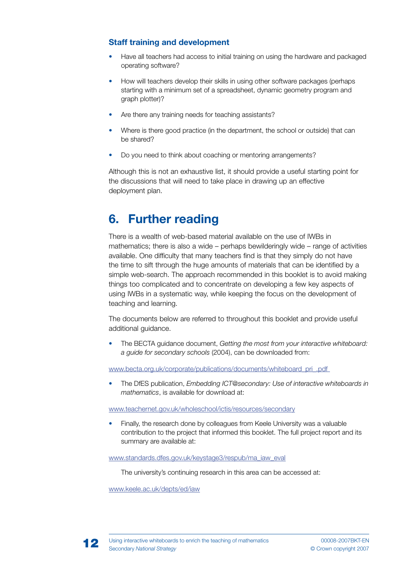### **Staff training and development**

- Have all teachers had access to initial training on using the hardware and packaged operating software? •
- How will teachers develop their skills in using other software packages (perhaps starting with a minimum set of a spreadsheet, dynamic geometry program and graph plotter)? •
- Are there any training needs for teaching assistants? •
- Where is there good practice (in the department, the school or outside) that can be shared? •
- Do you need to think about coaching or mentoring arrangements? •

Although this is not an exhaustive list, it should provide a useful starting point for the discussions that will need to take place in drawing up an effective deployment plan.

## **6. Further reading**

There is a wealth of web-based material available on the use of IWBs in mathematics; there is also a wide – perhaps bewilderingly wide – range of activities available. One difficulty that many teachers find is that they simply do not have the time to sift through the huge amounts of materials that can be identified by a simple web-search. The approach recommended in this booklet is to avoid making things too complicated and to concentrate on developing a few key aspects of using IWBs in a systematic way, while keeping the focus on the development of teaching and learning.

The documents below are referred to throughout this booklet and provide useful additional quidance.

The BECTA guidance document, *Getting the most from your interactive whiteboard: a guide for secondary schools* (2004), can be downloaded from: •

www.becta.org.uk/corporate/publications/documents/whiteboard\_pri\_.pdf

The DfES publication, *Embedding ICT@secondary: Use of interactive whiteboards in mathematics*, is available for download at: •

www.teachernet.gov.uk/wholeschool/ictis/resources/secondary

Finally, the research done by colleagues from Keele University was a valuable contribution to the project that informed this booklet. The full project report and its summary are available at: •

www.standards.dfes.gov.uk/keystage3/respub/ma\_iaw\_eval

The university's continuing research in this area can be accessed at:

www.keele.ac.uk/depts/ed/iaw